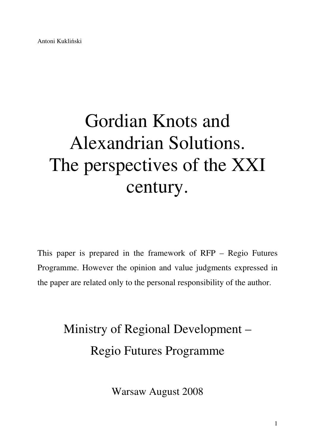# Gordian Knots and Alexandrian Solutions. The perspectives of the XXI century.

This paper is prepared in the framework of RFP – Regio Futures Programme. However the opinion and value judgments expressed in the paper are related only to the personal responsibility of the author.

> Ministry of Regional Development – Regio Futures Programme

> > Warsaw August 2008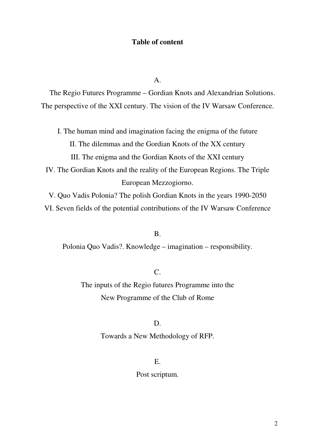## **Table of content**

 $\mathbf{A}$ .

The Regio Futures Programme – Gordian Knots and Alexandrian Solutions. The perspective of the XXI century. The vision of the IV Warsaw Conference.

I. The human mind and imagination facing the enigma of the future II. The dilemmas and the Gordian Knots of the XX century III. The enigma and the Gordian Knots of the XXI century

IV. The Gordian Knots and the reality of the European Regions. The Triple European Mezzogiorno.

V. Quo Vadis Polonia? The polish Gordian Knots in the years 1990-2050

VI. Seven fields of the potential contributions of the IV Warsaw Conference

### B.

Polonia Quo Vadis?. Knowledge – imagination – responsibility.

# $\mathcal{C}$

The inputs of the Regio futures Programme into the New Programme of the Club of Rome

## D.

Towards a New Methodology of RFP.

## E.

Post scriptum.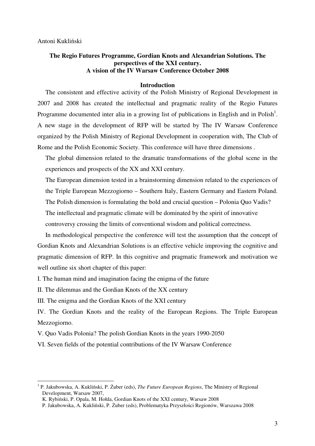## **The Regio Futures Programme, Gordian Knots and Alexandrian Solutions. The perspectives of the XXI century. A vision of the IV Warsaw Conference October 2008**

#### **Introduction**

The consistent and effective activity of the Polish Ministry of Regional Development in 2007 and 2008 has created the intellectual and pragmatic reality of the Regio Futures Programme documented inter alia in a growing list of publications in English and in Polish<sup>1</sup>. A new stage in the development of RFP will be started by The IV Warsaw Conference organized by the Polish Ministry of Regional Development in cooperation with, The Club of Rome and the Polish Economic Society. This conference will have three dimensions .

The global dimension related to the dramatic transformations of the global scene in the experiences and prospects of the XX and XXI century.

The European dimension tested in a brainstorming dimension related to the experiences of the Triple European Mezzogiorno – Southern Italy, Eastern Germany and Eastern Poland.

The Polish dimension is formulating the bold and crucial question – Polonia Quo Vadis?

The intellectual and pragmatic climate will be dominated by the spirit of innovative

controversy crossing the limits of conventional wisdom and political correctness.

In methodological perspective the conference will test the assumption that the concept of Gordian Knots and Alexandrian Solutions is an effective vehicle improving the cognitive and pragmatic dimension of RFP. In this cognitive and pragmatic framework and motivation we well outline six short chapter of this paper:

I. The human mind and imagination facing the enigma of the future

II. The dilemmas and the Gordian Knots of the XX century

III. The enigma and the Gordian Knots of the XXI century

IV. The Gordian Knots and the reality of the European Regions. The Triple European Mezzogiorno.

V. Quo Vadis Polonia? The polish Gordian Knots in the years 1990-2050

VI. Seven fields of the potential contributions of the IV Warsaw Conference

 1 P. Jakubowska, A. Kukliński, P. Żuber (eds), *The Future European Regions*, The Ministry of Regional Development, Warsaw 2007,

K. Rybiński, P. Opala, M. Hołda, Gordian Knots of the XXI century, Warsaw 2008

P. Jakubowska, A. Kukliński, P. Żuber (eds), Problematyka Przyszłości Regionów, Warszawa 2008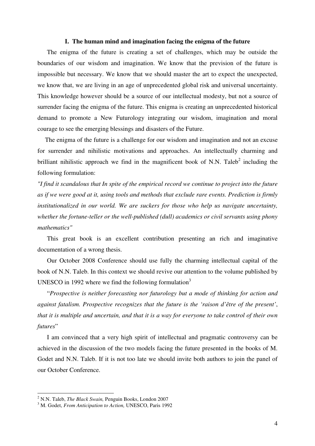#### **I. The human mind and imagination facing the enigma of the future**

The enigma of the future is creating a set of challenges, which may be outside the boundaries of our wisdom and imagination. We know that the prevision of the future is impossible but necessary. We know that we should master the art to expect the unexpected, we know that, we are living in an age of unprecedented global risk and universal uncertainty. This knowledge however should be a source of our intellectual modesty, but not a source of surrender facing the enigma of the future. This enigma is creating an unprecedented historical demand to promote a New Futurology integrating our wisdom, imagination and moral courage to see the emerging blessings and disasters of the Future.

The enigma of the future is a challenge for our wisdom and imagination and not an excuse for surrender and nihilistic motivations and approaches. An intellectually charming and brilliant nihilistic approach we find in the magnificent book of N.N. Taleb<sup>2</sup> including the following formulation:

*"I find it scandalous that In spite of the empirical record we continue to project into the future as if we were good at it, using tools and methods that exclude rare events. Prediction is firmly institutionalized in our world. We are suckers for those who help us navigate uncertainty, whether the fortune-teller or the well-published (dull) academics or civil servants using phony mathematics"* 

This great book is an excellent contribution presenting an rich and imaginative documentation of a wrong thesis.

Our October 2008 Conference should use fully the charming intellectual capital of the book of N.N. Taleb. In this context we should revive our attention to the volume published by UNESCO in 1992 where we find the following formulation $3$ 

"*Prospective is neither forecasting nor futurology but a mode of thinking for action and against fatalism. Prospective recognizes that the future is the 'raison d'être of the present'*, *that it is multiple and uncertain, and that it is a way for everyone to take control of their own futures*"

I am convinced that a very high spirit of intellectual and pragmatic controversy can be achieved in the discussion of the two models facing the future presented in the books of M. Godet and N.N. Taleb. If it is not too late we should invite both authors to join the panel of our October Conference.

<sup>2</sup> N.N. Taleb, *The Black Swain,* Penguin Books, London 2007

<sup>3</sup> M. Godet, *From Anticipation to Action,* UNESCO, Paris 1992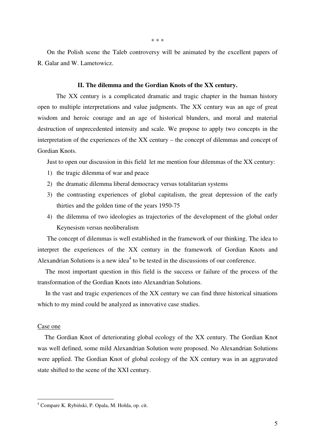On the Polish scene the Taleb controversy will be animated by the excellent papers of R. Galar and W. Lametowicz.

#### **II. The dilemma and the Gordian Knots of the XX century.**

 The XX century is a complicated dramatic and tragic chapter in the human history open to multiple interpretations and value judgments. The XX century was an age of great wisdom and heroic courage and an age of historical blunders, and moral and material destruction of unprecedented intensity and scale. We propose to apply two concepts in the interpretation of the experiences of the XX century – the concept of dilemmas and concept of Gordian Knots.

Just to open our discussion in this field let me mention four dilemmas of the XX century:

- 1) the tragic dilemma of war and peace
- 2) the dramatic dilemma liberal democracy versus totalitarian systems
- 3) the contrasting experiences of global capitalism, the great depression of the early thirties and the golden time of the years 1950-75
- 4) the dilemma of two ideologies as trajectories of the development of the global order Keynesism versus neoliberalism

The concept of dilemmas is well established in the framework of our thinking. The idea to interpret the experiences of the XX century in the framework of Gordian Knots and Alexandrian Solutions is a new idea<sup>4</sup> to be tested in the discussions of our conference.

The most important question in this field is the success or failure of the process of the transformation of the Gordian Knots into Alexandrian Solutions.

In the vast and tragic experiences of the XX century we can find three historical situations which to my mind could be analyzed as innovative case studies.

#### Case one

The Gordian Knot of deteriorating global ecology of the XX century. The Gordian Knot was well defined, some mild Alexandrian Solution were proposed. No Alexandrian Solutions were applied. The Gordian Knot of global ecology of the XX century was in an aggravated state shifted to the scene of the XXI century.

 4 Compare K. Rybiński, P. Opala, M. Hołda, op. cit.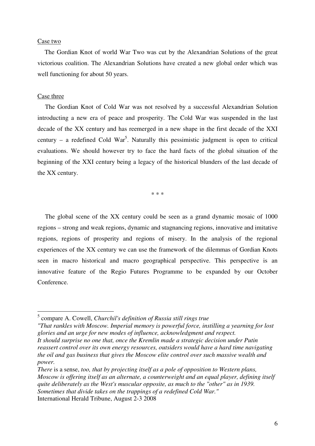#### Case two

The Gordian Knot of world War Two was cut by the Alexandrian Solutions of the great victorious coalition. The Alexandrian Solutions have created a new global order which was well functioning for about 50 years.

#### Case three

 $\overline{a}$ 

The Gordian Knot of Cold War was not resolved by a successful Alexandrian Solution introducting a new era of peace and prosperity. The Cold War was suspended in the last decade of the XX century and has reemerged in a new shape in the first decade of the XXI century – a redefined Cold War<sup>5</sup>. Naturally this pessimistic judgment is open to critical evaluations. We should however try to face the hard facts of the global situation of the beginning of the XXI century being a legacy of the historical blunders of the last decade of the XX century.

\* \* \*

The global scene of the XX century could be seen as a grand dynamic mosaic of 1000 regions – strong and weak regions, dynamic and stagnancing regions, innovative and imitative regions, regions of prosperity and regions of misery. In the analysis of the regional experiences of the XX century we can use the framework of the dilemmas of Gordian Knots seen in macro historical and macro geographical perspective. This perspective is an innovative feature of the Regio Futures Programme to be expanded by our October Conference.

*"That rankles with Moscow. Imperial memory is powerful force, instilling a yearning for lost glories and an urge for new modes of influence, acknowledgment and respect. It should surprise no one that, once the Kremlin made a strategic decision under Putin* 

<sup>5</sup> compare A. Cowell, *Churchil's definition of Russia still rings true*

*reassert control over its own energy resources, outsiders would have a hard time navigating the oil and gas business that gives the Moscow elite control over such massive wealth and power.* 

*There* is a sense, *too, that by projecting itself as a pole of opposition to Western plans, Moscow is offering itself as an alternate, a counterweight and an equal player, defining itself quite deliberately as the West's muscular opposite, as much to the "other" as in 1939. Sometimes that divide takes on the trappings of a redefined Cold War."*  International Herald Tribune, August 2-3 2008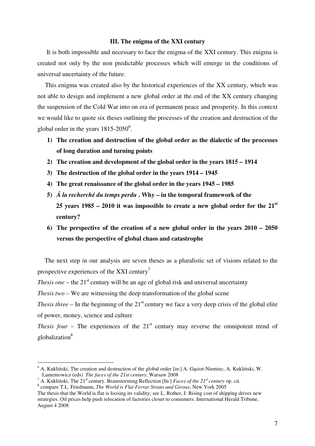#### **III. The enigma of the XXI century**

 It is both impossible and necessary to face the enigma of the XXI century. This enigma is created not only by the non predictable processes which will emerge in the conditions of universal uncertainty of the future.

This enigma was created also by the historical experiences of the XX century, which was not able to design and implement a new global order at the end of the XX century changing the suspension of the Cold War into on era of permanent peace and prosperity. In this context we would like to quote six theses outlining the processes of the creation and destruction of the global order in the years  $1815-2050^6$ .

- **1) The creation and destruction of the global order as the dialectic of the processes of long duration and turning points**
- **2) The creation and development of the global order in the years 1815 1914**
- **3) The destruction of the global order in the years 1914 1945**
- **4) The great renaissance of the global order in the years 1945 1985**
- **5)** *Á la recherché du temps perdu* **. Why in the temporal framework of the 25 years 1985 – 2010 it was impossible to create a new global order for the 21st century?**
- **6) The perspective of the creation of a new global order in the years 2010 2050 versus the perspective of global chaos and catastrophe**

The next step in our analysis are seven theses as a pluralistic set of visions related to the prospective experiences of the XXI century<sup>7</sup>

*Thesis one* – the  $21<sup>st</sup>$  century will be an age of global risk and universal uncertainty

*Thesis two* – We are witnessing the deep transformation of the global scene

*Thesis three* – In the beginning of the  $21<sup>st</sup>$  century we face a very deep crisis of the global elite of power, money, science and culture

*Thesis four* – The experiences of the  $21<sup>st</sup>$  century may reverse the omnipotent trend of globalization<sup>8</sup>

<sup>7</sup> A. Kukliński, The 21<sup>st</sup> century. Brainstorming Reflection [In:] *Faces of the 21<sup>st</sup> century* op. cit.

<sup>&</sup>lt;sup>6</sup> A. Kukliński, The creation and destruction of the global order [in:] A. Gąsior-Niemiec, A. Kukliński, W. Lamentowicz (eds) *The faces of the 21st century,* Warsaw 2008

<sup>8</sup> compare T.L. Friedmann, *The World is Flat Ferrar Strans and Giroux*, New York 2005

The thesis that the World is flat is loosing its validity; see L. Rother, J. Rising cost of shipping drives new strategies. Oil prices help push relocation of factories closer to consumers. International Herald Tribune, August 4 2008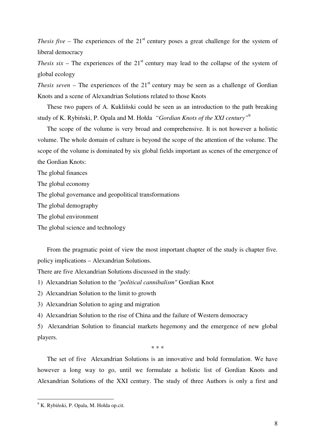*Thesis five* – The experiences of the 21<sup>st</sup> century poses a great challenge for the system of liberal democracy

*Thesis six* – The experiences of the  $21<sup>st</sup>$  century may lead to the collapse of the system of global ecology

*Thesis seven* – The experiences of the  $21<sup>st</sup>$  century may be seen as a challenge of Gordian Knots and a scene of Alexandrian Solutions related to those Knots

These two papers of A. Kukliński could be seen as an introduction to the path breaking study of K. Rybiński, P. Opala and M. Hołda *"Gordian Knots of the XXI century"*<sup>9</sup>

The scope of the volume is very broad and comprehensive. It is not however a holistic volume. The whole domain of culture is beyond the scope of the attention of the volume. The scope of the volume is dominated by six global fields important as scenes of the emergence of the Gordian Knots:

The global finances

The global economy

The global governance and geopolitical transformations

The global demography

The global environment

The global science and technology

From the pragmatic point of view the most important chapter of the study is chapter five. policy implications – Alexandrian Solutions.

There are five Alexandrian Solutions discussed in the study:

1) Alexandrian Solution to the *"political cannibalism"* Gordian Knot

2) Alexandrian Solution to the limit to growth

3) Alexandrian Solution to aging and migration

4) Alexandrian Solution to the rise of China and the failure of Western democracy

5) Alexandrian Solution to financial markets hegemony and the emergence of new global players.

\* \* \*

The set of five Alexandrian Solutions is an innovative and bold formulation. We have however a long way to go, until we formulate a holistic list of Gordian Knots and Alexandrian Solutions of the XXI century. The study of three Authors is only a first and

 9 K. Rybiński, P. Opala, M. Hołda op.cit.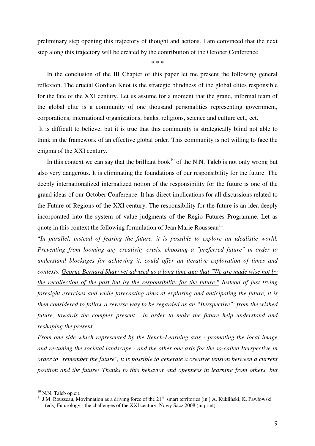preliminary step opening this trajectory of thought and actions. I am convinced that the next step along this trajectory will be created by the contribution of the October Conference

\* \* \*

In the conclusion of the III Chapter of this paper let me present the following general reflexion. The crucial Gordian Knot is the strategic blindness of the global elites responsible for the fate of the XXI century. Let us assume for a moment that the grand, informal team of the global elite is a community of one thousand personalities representing government, corporations, international organizations, banks, religions, science and culture ect., ect.

 It is difficult to believe, but it is true that this community is strategically blind not able to think in the framework of an effective global order. This community is not willing to face the enigma of the XXI century.

In this context we can say that the brilliant book<sup>10</sup> of the N.N. Taleb is not only wrong but also very dangerous. It is eliminating the foundations of our responsibility for the future. The deeply internationalized internalized notion of the responsibility for the future is one of the grand ideas of our October Conference. It has direct implications for all discussions related to the Future of Regions of the XXI century. The responsibility for the future is an idea deeply incorporated into the system of value judgments of the Regio Futures Programme. Let as quote in this context the following formulation of Jean Marie Rousseau<sup>11</sup>:

"*In parallel, instead of fearing the future, it is possible to explore an idealistie world. Preventing from looming any creativity crisis, choosing a "preferred future" in order to understand blockages for achieving it, could offer an iterative exploration of times and contexts. George Bernard Shaw yet advised us a long time ago that "We are made wise not by the recollection of the past but by the responsibility for the future." Instead of just trying foresight exercises and while forecasting aims at exploring and anticipating the future, it is then considered to follow a reverse way to be regarded as an "Iterspective": from the wished future, towards the complex present... in order to make the future help understand and reshaping the present.* 

*From one side which represented by the Bench-Learning axis - promoting the local image and re-tuning the societal landscape - and the other one axis for the so-called Iterspective in order to "remember the future", it is possible to generate a creative tension between a current position and the future! Thanks to this behavior and openness in learning from others, but* 

<sup>&</sup>lt;sup>10</sup> N.N. Taleb op.cit.

<sup>&</sup>lt;sup>11</sup> J.M. Rousseau, Movinnation as a driving force of the  $21<sup>st</sup>$  smart territories [in:] A. Kukliński, K. Pawłowski (eds) Futurology - the challenges of the XXI century, Nowy Sącz 2008 (in print)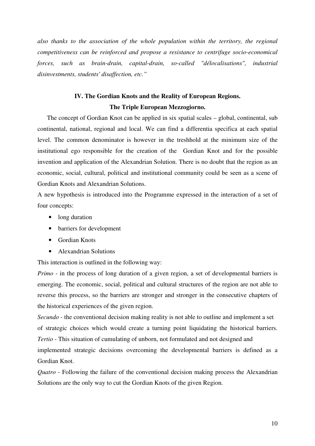*also thanks to the association of the whole population within the territory, the regional competitiveness can be reinforced and propose a resistance to centrifuge socio-economical forces, such as brain-drain, capital-drain, so-called "délocalisations", industrial disinvestments, students' disaffection, etc."* 

## **IV. The Gordian Knots and the Reality of European Regions. The Triple European Mezzogiorno.**

The concept of Gordian Knot can be applied in six spatial scales – global, continental, sub continental, national, regional and local. We can find a differentia specifica at each spatial level. The common denominator is however in the treshhold at the minimum size of the institutional ego responsible for the creation of the Gordian Knot and for the possible invention and application of the Alexandrian Solution. There is no doubt that the region as an economic, social, cultural, political and institutional community could be seen as a scene of Gordian Knots and Alexandrian Solutions.

A new hypothesis is introduced into the Programme expressed in the interaction of a set of four concepts:

- long duration
- barriers for development
- Gordian Knots
- Alexandrian Solutions

This interaction is outlined in the following way:

*Primo* - in the process of long duration of a given region, a set of developmental barriers is emerging. The economic, social, political and cultural structures of the region are not able to reverse this process, so the barriers are stronger and stronger in the consecutive chapters of the historical experiences of the given region.

*Secundo* - the conventional decision making reality is not able to outline and implement a set of strategic choices which would create a turning point liquidating the historical barriers. *Tertio* - This situation of cumulating of unborn, not formulated and not designed and implemented strategic decisions overcoming the developmental barriers is defined as a

Gordian Knot. *Quatro* - Following the failure of the conventional decision making process the Alexandrian Solutions are the only way to cut the Gordian Knots of the given Region.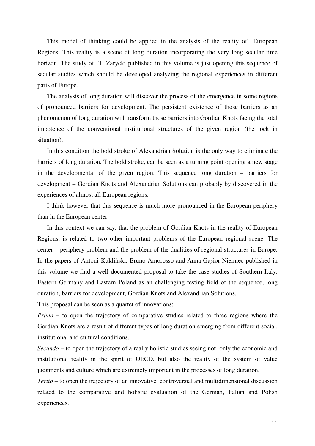This model of thinking could be applied in the analysis of the reality of European Regions. This reality is a scene of long duration incorporating the very long secular time horizon. The study of T. Zarycki published in this volume is just opening this sequence of secular studies which should be developed analyzing the regional experiences in different parts of Europe.

The analysis of long duration will discover the process of the emergence in some regions of pronounced barriers for development. The persistent existence of those barriers as an phenomenon of long duration will transform those barriers into Gordian Knots facing the total impotence of the conventional institutional structures of the given region (the lock in situation).

In this condition the bold stroke of Alexandrian Solution is the only way to eliminate the barriers of long duration. The bold stroke, can be seen as a turning point opening a new stage in the developmental of the given region. This sequence long duration – barriers for development – Gordian Knots and Alexandrian Solutions can probably by discovered in the experiences of almost all European regions.

I think however that this sequence is much more pronounced in the European periphery than in the European center.

In this context we can say, that the problem of Gordian Knots in the reality of European Regions, is related to two other important problems of the European regional scene. The center – periphery problem and the problem of the dualities of regional structures in Europe. In the papers of Antoni Kukliński, Bruno Amorosso and Anna Gąsior-Niemiec published in this volume we find a well documented proposal to take the case studies of Southern Italy, Eastern Germany and Eastern Poland as an challenging testing field of the sequence, long duration, barriers for development, Gordian Knots and Alexandrian Solutions.

This proposal can be seen as a quartet of innovations:

*Primo* – to open the trajectory of comparative studies related to three regions where the Gordian Knots are a result of different types of long duration emerging from different social, institutional and cultural conditions.

*Secundo –* to open the trajectory of a really holistic studies seeing not only the economic and institutional reality in the spirit of OECD, but also the reality of the system of value judgments and culture which are extremely important in the processes of long duration.

*Tertio* – to open the trajectory of an innovative, controversial and multidimensional discussion related to the comparative and holistic evaluation of the German, Italian and Polish experiences.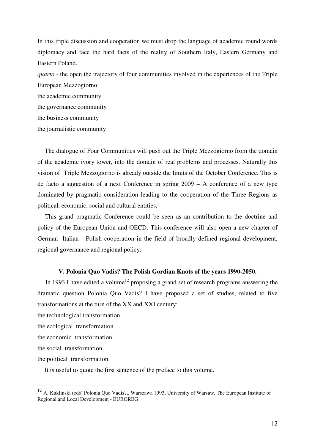In this triple discussion and cooperation we must drop the language of academic round words diplomacy and face the hard facts of the reality of Southern Italy, Eastern Germany and Eastern Poland.

*quarto -* the open the trajectory of four communities involved in the experiences of the Triple European Mezzogiorno:

the academic community the governance community the business community the journalistic community

The dialogue of Four Communities will push out the Triple Mezzogiorno from the domain of the academic ivory tower, into the domain of real problems and processes. Naturally this vision of Triple Mezzogiorno is already outside the limits of the October Conference. This is de facto a suggestion of a next Conference in spring 2009 – A conference of a new type dominated by pragmatic consideration leading to the cooperation of the Three Regions as political, economic, social and cultural entities.

This grand pragmatic Conference could be seen as an contribution to the doctrine and policy of the European Union and OECD. This conference will also open a new chapter of German- Italian - Polish cooperation in the field of broadly defined regional development, regional governance and regional policy.

## **V. Polonia Quo Vadis? The Polish Gordian Knots of the years 1990-2050.**

In 1993 I have edited a volume<sup>12</sup> proposing a grand set of research programs answering the dramatic question Polonia Quo Vadis? I have proposed a set of studies, related to five transformations at the turn of the XX and XXI century:

the technological transformation

the ecological transformation

the economic transformation

the social transformation

 $\overline{a}$ 

the political transformation

It is useful to quote the first sentence of the preface to this volume.

<sup>&</sup>lt;sup>12</sup> A. Kukliński (eds) Polonia Quo Vadis?,, Warszawa 1993, University of Warsaw, The European Institute of Regional and Local Development - EUROREG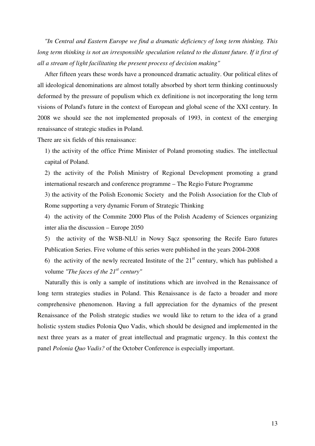*"In Central and Eastern Europe we find a dramatic deficiency of long term thinking. This*  long term thinking is not an irresponsible speculation related to the distant future. If it first of *all a stream of light facilitating the present process of decision making"* 

After fifteen years these words have a pronounced dramatic actuality. Our political elites of all ideological denominations are almost totally absorbed by short term thinking continuously deformed by the pressure of populism which ex definitione is not incorporating the long term visions of Poland's future in the context of European and global scene of the XXI century. In 2008 we should see the not implemented proposals of 1993, in context of the emerging renaissance of strategic studies in Poland.

There are six fields of this renaissance:

1) the activity of the office Prime Minister of Poland promoting studies. The intellectual capital of Poland.

2) the activity of the Polish Ministry of Regional Development promoting a grand international research and conference programme – The Regio Future Programme

3) the activity of the Polish Economic Society and the Polish Association for the Club of Rome supporting a very dynamic Forum of Strategic Thinking

4) the activity of the Commite 2000 Plus of the Polish Academy of Sciences organizing inter alia the discussion – Europe 2050

5) the activity of the WSB-NLU in Nowy Sącz sponsoring the Recife Euro futures Publication Series. Five volume of this series were published in the years 2004-2008

6) the activity of the newly recreated Institute of the  $21<sup>st</sup>$  century, which has published a volume *"The faces of the 21st century"*

Naturally this is only a sample of institutions which are involved in the Renaissance of long term strategies studies in Poland. This Renaissance is de facto a broader and more comprehensive phenomenon. Having a full appreciation for the dynamics of the present Renaissance of the Polish strategic studies we would like to return to the idea of a grand holistic system studies Polonia Quo Vadis, which should be designed and implemented in the next three years as a mater of great intellectual and pragmatic urgency. In this context the panel *Polonia Quo Vadis?* of the October Conference is especially important.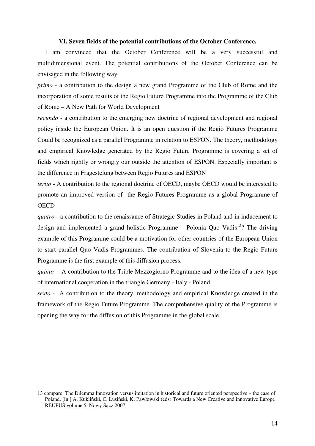#### **VI. Seven fields of the potential contributions of the October Conference.**

I am convinced that the October Conference will be a very successful and multidimensional event. The potential contributions of the October Conference can be envisaged in the following way.

*primo* - a contribution to the design a new grand Programme of the Club of Rome and the incorporation of some results of the Regio Future Programme into the Programme of the Club of Rome – A New Path for World Development

*secundo* - a contribution to the emerging new doctrine of regional development and regional policy inside the European Union. It is an open question if the Regio Futures Programme Could be recognized as a parallel Programme in relation to ESPON. The theory, methodology and empirical Knowledge generated by the Regio Future Programme is covering a set of fields which rightly or wrongly our outside the attention of ESPON. Especially important is the difference in Fragestelung between Regio Futures and ESPON

*tertio* - A contribution to the regional doctrine of OECD, maybe OECD would be interested to promote an improved version of the Regio Futures Programme as a global Programme of **OECD** 

*quatro* - a contribution to the renaissance of Strategic Studies in Poland and in inducement to design and implemented a grand holistic Programme – Polonia Quo Vadis<sup>13</sup>? The driving example of this Programme could be a motivation for other countries of the European Union to start parallel Quo Vadis Programmes. The contribution of Slovenia to the Regio Future Programme is the first example of this diffusion process.

*quinto -* A contribution to the Triple Mezzogiorno Programme and to the idea of a new type of international cooperation in the triangle Germany - Italy - Poland.

*sexto -* A contribution to the theory, methodology and empirical Knowledge created in the framework of the Regio Future Programme. The comprehensive quality of the Programme is opening the way for the diffusion of this Programme in the global scale.

<sup>13</sup> compare: The Dilemma Innovation versus imitation in historical and future oriented perspective – the case of Poland. [in:] A. Kukliński, C. Lusiński, K. Pawłowski (eds) Towards a New Creative and innovative Europe REUPUS volume 5, Nowy Sącz 2007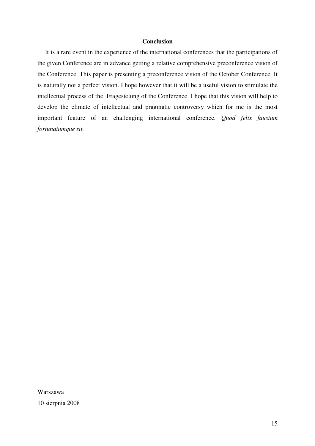### **Conclusion**

It is a rare event in the experience of the international conferences that the participations of the given Conference are in advance getting a relative comprehensive preconference vision of the Conference. This paper is presenting a preconference vision of the October Conference. It is naturally not a perfect vision. I hope however that it will be a useful vision to stimulate the intellectual process of the Fragestelung of the Conference. I hope that this vision will help to develop the climate of intellectual and pragmatic controversy which for me is the most important feature of an challenging international conference. *Quod felix faustum fortunatumque sit.* 

Warszawa 10 sierpnia 2008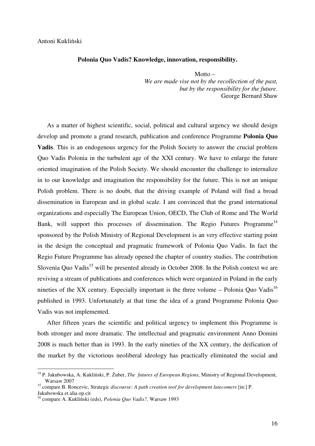#### **Polonia Quo Vadis? Knowledge, innovation, responsibility.**

Motto  $-$ *We are made vise not by the recollection of the past, but by the responsibility for the future.*  George Bernard Shaw

As a matter of highest scientific, social, political and cultural urgency we should design develop and promote a grand research, publication and conference Programme **Polonia Quo Vadis**. This is an endogenous urgency for the Polish Society to answer the crucial problem Quo Vadis Polonia in the turbulent age of the XXI century. We have to enlarge the future oriented imagination of the Polish Society. We should encounter the challenge to internalize in to our knowledge and imagination the responsibility for the future. This is not an unique Polish problem. There is no doubt, that the driving example of Poland will find a broad dissemination in European and in global scale. I am convinced that the grand international organizations and especially The European Union, OECD, The Club of Rome and The World Bank, will support this processes of dissemination. The Regio Futures Programme<sup>14</sup> sponsored by the Polish Ministry of Regional Development is an very effective starting point in the design the conceptual and pragmatic framework of Polonia Quo Vadis. In fact the Regio Future Programme has already opened the chapter of country studies. The contribution Slovenia Quo Vadis<sup>15</sup> will be presented already in October 2008. In the Polish context we are reviving a stream of publications and conferences which were organized in Poland in the early nineties of the XX century. Especially important is the three volume – Polonia Quo Vadis<sup>16</sup> published in 1993. Unfortunately at that time the idea of a grand Programme Polonia Quo Vadis was not implemented.

After fifteen years the scientific and political urgency to implement this Programme is both stronger and more dramatic. The intellectual and pragmatic environment Anno Domini 2008 is much better than in 1993. In the early nineties of the XX century, the deification of the market by the victorious neoliberal ideology has practically eliminated the social and

<sup>14</sup> P. Jakubowska, A. Kukliński, P. Żuber, *The futures of European Regions,* Ministry of Regional Development, Warsaw 2007

<sup>15</sup> compare B. Roncevic, Strategic *discourse: A path creation tool for development latecomers* [in:] P. Jakubowska et alia op.cit

<sup>16</sup> compare A. Kukliński (eds), *Polonia Quo Vadis?,* Warsaw 1993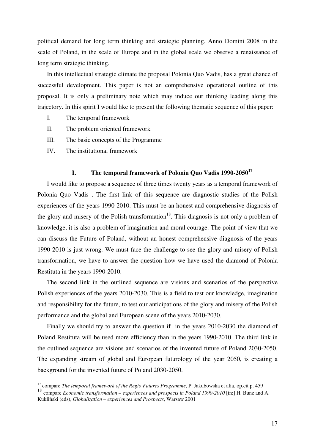political demand for long term thinking and strategic planning. Anno Domini 2008 in the scale of Poland, in the scale of Europe and in the global scale we observe a renaissance of long term strategic thinking.

In this intellectual strategic climate the proposal Polonia Quo Vadis, has a great chance of successful development. This paper is not an comprehensive operational outline of this proposal. It is only a preliminary note which may induce our thinking leading along this trajectory. In this spirit I would like to present the following thematic sequence of this paper:

- I. The temporal framework
- II. The problem oriented framework
- III. The basic concepts of the Programme
- IV. The institutional framework

 $\overline{a}$ 

## **I. The temporal framework of Polonia Quo Vadis 1990-2050<sup>17</sup>**

I would like to propose a sequence of three times twenty years as a temporal framework of Polonia Quo Vadis . The first link of this sequence are diagnostic studies of the Polish experiences of the years 1990-2010. This must be an honest and comprehensive diagnosis of the glory and misery of the Polish transformation<sup>18</sup>. This diagnosis is not only a problem of knowledge, it is also a problem of imagination and moral courage. The point of view that we can discuss the Future of Poland, without an honest comprehensive diagnosis of the years 1990-2010 is just wrong. We must face the challenge to see the glory and misery of Polish transformation, we have to answer the question how we have used the diamond of Polonia Restituta in the years 1990-2010.

The second link in the outlined sequence are visions and scenarios of the perspective Polish experiences of the years 2010-2030. This is a field to test our knowledge, imagination and responsibility for the future, to test our anticipations of the glory and misery of the Polish performance and the global and European scene of the years 2010-2030.

Finally we should try to answer the question if in the years 2010-2030 the diamond of Poland Restituta will be used more efficiency than in the years 1990-2010. The third link in the outlined sequence are visions and scenarios of the invented future of Poland 2030-2050. The expanding stream of global and European futurology of the year 2050, is creating a background for the invented future of Poland 2030-2050.

<sup>&</sup>lt;sup>17</sup> compare *The temporal framework of the Regio Futures Programme*, P. Jakubowska et alia, op.cit p. 459

<sup>18</sup> compare *Economic transformation – experiences and prospects in Poland 1990-2010* [in:] H. Bunz and A. Kukliński (eds), *Globalization – experiences and Prospects*, Warsaw 2001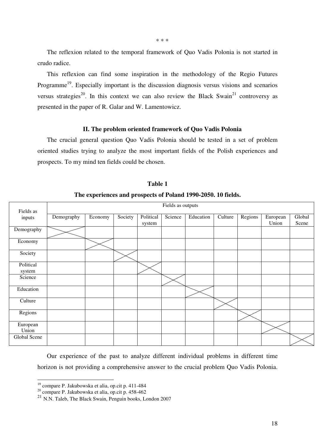The reflexion related to the temporal framework of Quo Vadis Polonia is not started in crudo radice.

This reflexion can find some inspiration in the methodology of the Regio Futures Programme<sup>19</sup>. Especially important is the discussion diagnosis versus visions and scenarios versus strategies<sup>20</sup>. In this context we can also review the Black Swain<sup>21</sup> controversy as presented in the paper of R. Galar and W. Lamentowicz.

#### **II. The problem oriented framework of Quo Vadis Polonia**

The crucial general question Quo Vadis Polonia should be tested in a set of problem oriented studies trying to analyze the most important fields of the Polish experiences and prospects. To my mind ten fields could be chosen.

| Fields as           | Fields as outputs |         |         |                     |         |           |         |         |                   |                 |
|---------------------|-------------------|---------|---------|---------------------|---------|-----------|---------|---------|-------------------|-----------------|
| inputs              | Demography        | Economy | Society | Political<br>system | Science | Education | Culture | Regions | European<br>Union | Global<br>Scene |
| Demography          |                   |         |         |                     |         |           |         |         |                   |                 |
| Economy             |                   |         |         |                     |         |           |         |         |                   |                 |
| Society             |                   |         |         |                     |         |           |         |         |                   |                 |
| Political<br>system |                   |         |         |                     |         |           |         |         |                   |                 |
| Science             |                   |         |         |                     |         |           |         |         |                   |                 |
| Education           |                   |         |         |                     |         |           |         |         |                   |                 |
| Culture             |                   |         |         |                     |         |           |         |         |                   |                 |
| Regions             |                   |         |         |                     |         |           |         |         |                   |                 |
| European<br>Union   |                   |         |         |                     |         |           |         |         |                   |                 |
| Global Scene        |                   |         |         |                     |         |           |         |         |                   |                 |

**Table 1** 

#### **The experiences and prospects of Poland 1990-2050. 10 fields.**

Our experience of the past to analyze different individual problems in different time horizon is not providing a comprehensive answer to the crucial problem Quo Vadis Polonia.

<sup>19</sup> compare P. Jakubowska et alia, op.cit p. 411-484

 $^{20}$  compare P. Jakubowska et alia, op.cit p. 458-462

<sup>21</sup> N.N. Taleb, The Black Swain, Penguin books, London 2007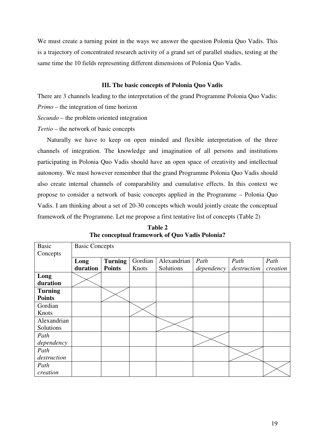We must create a turning point in the ways we answer the question Polonia Quo Vadis. This is a trajectory of concentrated research activity of a grand set of parallel studies, testing at the same time the 10 fields representing different dimensions of Polonia Quo Vadis.

## **III. The basic concepts of Polonia Quo Vadis**

There are 3 channels leading to the interpretation of the grand Programme Polonia Quo Vadis: *Primo –* the integration of time horizon

*Secundo* – the problem oriented integration

*Tertio* – the network of basic concepts

Naturally we have to keep on open minded and flexible interpretation of the three channels of integration. The knowledge and imagination of all persons and institutions participating in Polonia Quo Vadis should have an open space of creativity and intellectual autonomy. We must however remember that the grand Programme Polonia Quo Vadis should also create internal channels of comparability and cumulative effects. In this context we propose to consider a network of basic concepts applied in the Programme – Polonia Quo Vadis. I am thinking about a set of 20-30 concepts which would jointly create the conceptual framework of the Programme. Let me propose a first tentative list of concepts (Table 2)

| <b>Table 2</b>                                 |  |  |  |  |  |  |
|------------------------------------------------|--|--|--|--|--|--|
| The conceptual framework of Quo Vadis Polonia? |  |  |  |  |  |  |

| <b>Basic</b>   | <b>Basic Concepts</b> |                |         |             |            |             |          |  |
|----------------|-----------------------|----------------|---------|-------------|------------|-------------|----------|--|
| Concepts       |                       |                |         |             |            |             |          |  |
|                | Long                  | <b>Turning</b> | Gordian | Alexandrian | Path       | Path        | Path     |  |
|                | duration              | <b>Points</b>  | Knots   | Solutions   | dependency | destruction | creation |  |
| Long           |                       |                |         |             |            |             |          |  |
| duration       |                       |                |         |             |            |             |          |  |
| <b>Turning</b> |                       |                |         |             |            |             |          |  |
| <b>Points</b>  |                       |                |         |             |            |             |          |  |
| Gordian        |                       |                |         |             |            |             |          |  |
| Knots          |                       |                |         |             |            |             |          |  |
| Alexandrian    |                       |                |         |             |            |             |          |  |
| Solutions      |                       |                |         |             |            |             |          |  |
| Path           |                       |                |         |             |            |             |          |  |
| dependency     |                       |                |         |             |            |             |          |  |
| Path           |                       |                |         |             |            |             |          |  |
| destruction    |                       |                |         |             |            |             |          |  |
| Path           |                       |                |         |             |            |             |          |  |
| creation       |                       |                |         |             |            |             |          |  |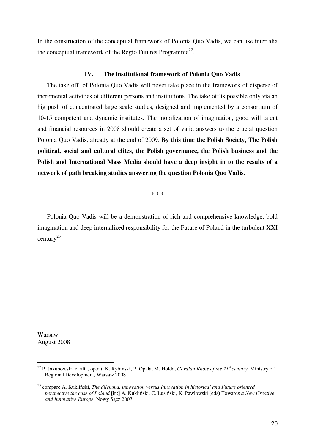In the construction of the conceptual framework of Polonia Quo Vadis, we can use inter alia the conceptual framework of the Regio Futures Programme<sup>22</sup>.

#### **IV. The institutional framework of Polonia Quo Vadis**

The take off of Polonia Quo Vadis will never take place in the framework of disperse of incremental activities of different persons and institutions. The take off is possible only via an big push of concentrated large scale studies, designed and implemented by a consortium of 10-15 competent and dynamic institutes. The mobilization of imagination, good will talent and financial resources in 2008 should create a set of valid answers to the crucial question Polonia Quo Vadis, already at the end of 2009. **By this time the Polish Society, The Polish political, social and cultural elites, the Polish governance, the Polish business and the Polish and International Mass Media should have a deep insight in to the results of a network of path breaking studies answering the question Polonia Quo Vadis.** 

\* \* \*

Polonia Quo Vadis will be a demonstration of rich and comprehensive knowledge, bold imagination and deep internalized responsibility for the Future of Poland in the turbulent XXI century<sup>23</sup>

Warsaw August 2008

<sup>22</sup> P. Jakubowska et alia, op.cit, K. Rybiński, P. Opala, M. Hołda, *Gordian Knots of the 21st century,* Ministry of Regional Development, Warsaw 2008

<sup>23</sup> compare A. Kukliński, *The dilemma, innovation versus Innovation in historical and Future oriented perspective the case of Poland* [in:] A. Kukliński, C. Lusiński, K. Pawlowski (eds) Towards *a New Creative and Innovative Europe*, Nowy Sącz 2007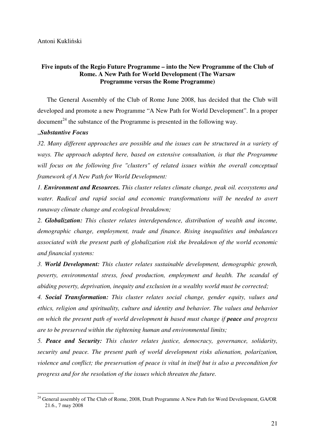## **Five inputs of the Regio Future Programme – into the New Programme of the Club of Rome. A New Path for World Development (The Warsaw Programme versus the Rome Programme)**

The General Assembly of the Club of Rome June 2008, has decided that the Club will developed and promote a new Programme "A New Path for World Development". In a proper  $document<sup>24</sup>$  the substance of the Programme is presented in the following way.

#### "*Substantive Focus*

*32. Many different approaches are possible and the issues can be structured in a variety of ways. The approach adopted here, based on extensive consultation, is that the Programme will focus on the following five "clusters" of related issues within the overall conceptual framework of A New Path for World Development:* 

*1. Environment and Resources. This cluster relates climate change, peak oil. ecosystems and*  water. Radical and rapid social and economic transformations will be needed to avert *runaway climate change and ecological breakdown;* 

*2. Globalization: This cluster relates interdependence, distribution of wealth and income, demographic change, employment, trade and finance. Rising inequalities and imbalances associated with the present path of globalization risk the breakdown of the world economic and financial systems:* 

*3. World Development: This cluster relates sustainable development, demographic growth, poverty, environmental stress, food production, employment and health. The scandal of abiding poverty, deprivation, inequity and exclusion in a wealthy world must be corrected;* 

*4. Social Transformation: This cluster relates social change, gender equity, values and ethics, religion and spirituality, culture and identity and behavior. The values and behavior on which the present path of world development is based must change if peace and progress are to be preserved within the tightening human and environmental limits;* 

*5. Peace and Security: This cluster relates justice, democracy, governance, solidarity, security and peace. The present path of world development risks alienation, polarization, violence and conflict; the preservation of peace is vital in itself but is also a precondition for progress and for the resolution of the issues which threaten the future.* 

 $\overline{a}$ <sup>24</sup> General assembly of The Club of Rome, 2008, Draft Programme A New Path for Word Development, GA/OR 21.6., 7 may 2008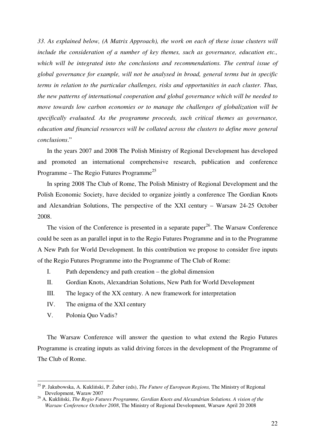*33. As explained below, (A Matrix Approach), the work on each of these issue clusters will include the consideration of a number of key themes, such as governance, education etc., which will be integrated into the conclusions and recommendations. The central issue of global governance for example, will not be analysed in broad, general terms but in specific terms in relation to the particular challenges, risks and opportunities in each cluster. Thus, the new patterns of international cooperation and global governance which will be needed to move towards low carbon economies or to manage the challenges of globalization will be specifically evaluated. As the programme proceeds, such critical themes as governance, education and financial resources will be collated across the clusters to define more general conclusions*."

In the years 2007 and 2008 The Polish Ministry of Regional Development has developed and promoted an international comprehensive research, publication and conference Programme – The Regio Futures Programme<sup>25</sup>

In spring 2008 The Club of Rome, The Polish Ministry of Regional Development and the Polish Economic Society, have decided to organize jointly a conference The Gordian Knots and Alexandrian Solutions, The perspective of the XXI century – Warsaw 24-25 October 2008.

The vision of the Conference is presented in a separate paper<sup>26</sup>. The Warsaw Conference could be seen as an parallel input in to the Regio Futures Programme and in to the Programme A New Path for World Development. In this contribution we propose to consider five inputs of the Regio Futures Programme into the Programme of The Club of Rome:

- I. Path dependency and path creation the global dimension
- II. Gordian Knots, Alexandrian Solutions, New Path for World Development
- III. The legacy of the XX century. A new framework for interpretation
- IV. The enigma of the XXI century
- V. Polonia Quo Vadis?

 $\overline{a}$ 

The Warsaw Conference will answer the question to what extend the Regio Futures Programme is creating inputs as valid driving forces in the development of the Programme of The Club of Rome.

<sup>25</sup> P. Jakubowska, A. Kukliński, P. Żuber (eds), *The Future of European Regions,* The Ministry of Regional Development, Waraw 2007

<sup>26</sup> A. Kukliński, *The Regio Futures Programme, Gordian Knots and Alexandrian Solutions. A vision of the Warsaw Conference October 2008*, The Ministry of Regional Development, Warsaw April 20 2008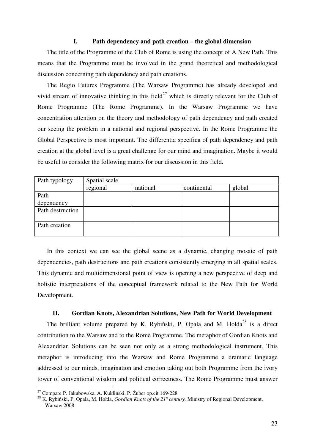#### **I. Path dependency and path creation – the global dimension**

The title of the Programme of the Club of Rome is using the concept of A New Path. This means that the Programme must be involved in the grand theoretical and methodological discussion concerning path dependency and path creations.

The Regio Futures Programme (The Warsaw Programme) has already developed and vivid stream of innovative thinking in this field<sup>27</sup> which is directly relevant for the Club of Rome Programme (The Rome Programme). In the Warsaw Programme we have concentration attention on the theory and methodology of path dependency and path created our seeing the problem in a national and regional perspective. In the Rome Programme the Global Perspective is most important. The differentia specifica of path dependency and path creation at the global level is a great challenge for our mind and imagination. Maybe it would be useful to consider the following matrix for our discussion in this field.

| Path typology    | Spatial scale |          |             |        |  |  |  |  |
|------------------|---------------|----------|-------------|--------|--|--|--|--|
|                  | regional      | national | continental | global |  |  |  |  |
| Path             |               |          |             |        |  |  |  |  |
| dependency       |               |          |             |        |  |  |  |  |
| Path destruction |               |          |             |        |  |  |  |  |
|                  |               |          |             |        |  |  |  |  |
| Path creation    |               |          |             |        |  |  |  |  |
|                  |               |          |             |        |  |  |  |  |

In this context we can see the global scene as a dynamic, changing mosaic of path dependencies, path destructions and path creations consistently emerging in all spatial scales. This dynamic and multidimensional point of view is opening a new perspective of deep and holistic interpretations of the conceptual framework related to the New Path for World Development.

#### **II. Gordian Knots, Alexandrian Solutions, New Path for World Development**

The brilliant volume prepared by K. Rybiński, P. Opala and M. Hołda<sup>28</sup> is a direct contribution to the Warsaw and to the Rome Programme. The metaphor of Gordian Knots and Alexandrian Solutions can be seen not only as a strong methodological instrument. This metaphor is introducing into the Warsaw and Rome Programme a dramatic language addressed to our minds, imagination and emotion taking out both Programme from the ivory tower of conventional wisdom and political correctness. The Rome Programme must answer

<sup>27</sup> Compare P. Jakubowska, A. Kukliński, P. Żuber op.cit 169-228

<sup>28</sup> K. Rybiński, P. Opala, M. Hołda, *Gordian Knots of the 21st century,* Ministry of Regional Development, Warsaw 2008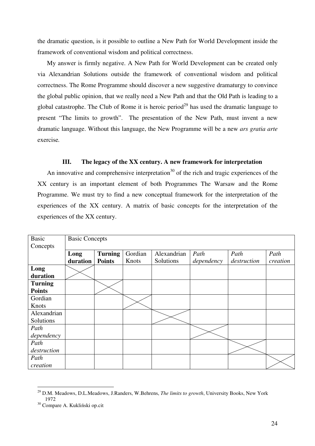the dramatic question, is it possible to outline a New Path for World Development inside the framework of conventional wisdom and political correctness.

My answer is firmly negative. A New Path for World Development can be created only via Alexandrian Solutions outside the framework of conventional wisdom and political correctness. The Rome Programme should discover a new suggestive dramaturgy to convince the global public opinion, that we really need a New Path and that the Old Path is leading to a global catastrophe. The Club of Rome it is heroic period<sup>29</sup> has used the dramatic language to present "The limits to growth". The presentation of the New Path, must invent a new dramatic language. Without this language, the New Programme will be a new *ars gratia arte*  exercise*.* 

#### **III. The legacy of the XX century. A new framework for interpretation**

An innovative and comprehensive interpretation<sup>30</sup> of the rich and tragic experiences of the XX century is an important element of both Programmes The Warsaw and the Rome Programme. We must try to find a new conceptual framework for the interpretation of the experiences of the XX century. A matrix of basic concepts for the interpretation of the experiences of the XX century.

| <b>Basic</b>   | <b>Basic Concepts</b> |                |         |             |            |             |          |
|----------------|-----------------------|----------------|---------|-------------|------------|-------------|----------|
| Concepts       |                       |                |         |             |            |             |          |
|                | Long                  | <b>Turning</b> | Gordian | Alexandrian | Path       | Path        | Path     |
|                | duration              | <b>Points</b>  | Knots   | Solutions   | dependency | destruction | creation |
| Long           |                       |                |         |             |            |             |          |
| duration       |                       |                |         |             |            |             |          |
| <b>Turning</b> |                       |                |         |             |            |             |          |
| <b>Points</b>  |                       |                |         |             |            |             |          |
| Gordian        |                       |                |         |             |            |             |          |
| Knots          |                       |                |         |             |            |             |          |
| Alexandrian    |                       |                |         |             |            |             |          |
| Solutions      |                       |                |         |             |            |             |          |
| Path           |                       |                |         |             |            |             |          |
| dependency     |                       |                |         |             |            |             |          |
| Path           |                       |                |         |             |            |             |          |
| destruction    |                       |                |         |             |            |             |          |
| Path           |                       |                |         |             |            |             |          |
| creation       |                       |                |         |             |            |             |          |

 $\overline{a}$ <sup>29</sup> D.M. Meadows, D.L.Meadows, J.Randers, W.Behrens, *The limits to growth*, University Books, New York 1972

<sup>30</sup> Compare A. Kukliński op.cit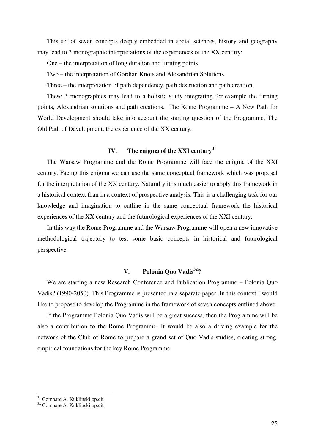This set of seven concepts deeply embedded in social sciences, history and geography may lead to 3 monographic interpretations of the experiences of the XX century:

One – the interpretation of long duration and turning points

Two – the interpretation of Gordian Knots and Alexandrian Solutions

Three – the interpretation of path dependency, path destruction and path creation.

These 3 monographies may lead to a holistic study integrating for example the turning points, Alexandrian solutions and path creations. The Rome Programme – A New Path for World Development should take into account the starting question of the Programme, The Old Path of Development, the experience of the XX century.

## **IV. The enigma of the XXI century<sup>31</sup>**

The Warsaw Programme and the Rome Programme will face the enigma of the XXI century. Facing this enigma we can use the same conceptual framework which was proposal for the interpretation of the XX century. Naturally it is much easier to apply this framework in a historical context than in a context of prospective analysis. This is a challenging task for our knowledge and imagination to outline in the same conceptual framework the historical experiences of the XX century and the futurological experiences of the XXI century.

In this way the Rome Programme and the Warsaw Programme will open a new innovative methodological trajectory to test some basic concepts in historical and futurological perspective.

## **V. Polonia Quo Vadis<sup>32</sup>?**

We are starting a new Research Conference and Publication Programme – Polonia Quo Vadis? (1990-2050). This Programme is presented in a separate paper. In this context I would like to propose to develop the Programme in the framework of seven concepts outlined above.

If the Programme Polonia Quo Vadis will be a great success, then the Programme will be also a contribution to the Rome Programme. It would be also a driving example for the network of the Club of Rome to prepare a grand set of Quo Vadis studies, creating strong, empirical foundations for the key Rome Programme.

<sup>&</sup>lt;sup>31</sup> Compare A. Kukliński op.cit

<sup>32</sup> Compare A. Kukliński op.cit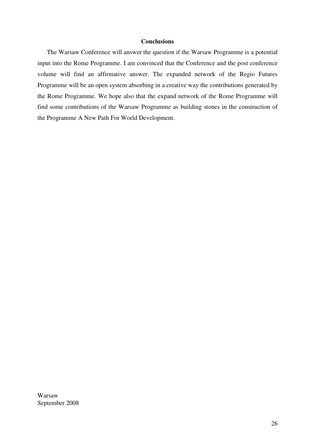## **Conclusions**

The Warsaw Conference will answer the question if the Warsaw Programme is a potential input into the Rome Programme. I am convinced that the Conference and the post conference volume will find an affirmative answer. The expanded network of the Regio Futures Programme will be an open system absorbing in a creative way the contributions generated by the Rome Programme. We hope also that the expand network of the Rome Programme will find some contributions of the Warsaw Programme as building stones in the construction of the Programme A New Path For World Development.

Warsaw September 2008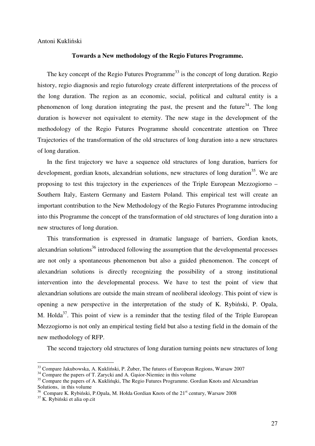Antoni Kukliński

#### **Towards a New methodology of the Regio Futures Programme.**

The key concept of the Regio Futures Programme<sup>33</sup> is the concept of long duration. Regio history, regio diagnosis and regio futurology create different interpretations of the process of the long duration. The region as an economic, social, political and cultural entity is a phenomenon of long duration integrating the past, the present and the future<sup>34</sup>. The long duration is however not equivalent to eternity. The new stage in the development of the methodology of the Regio Futures Programme should concentrate attention on Three Trajectories of the transformation of the old structures of long duration into a new structures of long duration.

In the first trajectory we have a sequence old structures of long duration, barriers for development, gordian knots, alexandrian solutions, new structures of long duration<sup>35</sup>. We are proposing to test this trajectory in the experiences of the Triple European Mezzogiorno – Southern Italy, Eastern Germany and Eastern Poland. This empirical test will create an important contribution to the New Methodology of the Regio Futures Programme introducing into this Programme the concept of the transformation of old structures of long duration into a new structures of long duration.

This transformation is expressed in dramatic language of barriers, Gordian knots, alexandrian solutions<sup>36</sup> introduced following the assumption that the developmental processes are not only a spontaneous phenomenon but also a guided phenomenon. The concept of alexandrian solutions is directly recognizing the possibility of a strong institutional intervention into the developmental process. We have to test the point of view that alexandrian solutions are outside the main stream of neoliberal ideology. This point of view is opening a new perspective in the interpretation of the study of K. Rybiński, P. Opala, M. Holda<sup>37</sup>. This point of view is a reminder that the testing filed of the Triple European Mezzogiorno is not only an empirical testing field but also a testing field in the domain of the new methodology of RFP.

The second trajectory old structures of long duration turning points new structures of long

<sup>&</sup>lt;sup>33</sup> Compare Jakubowska, A. Kukliński, P. Żuber, The futures of European Regions, Warsaw 2007

<sup>&</sup>lt;sup>34</sup> Compare the papers of T. Zarycki and A. Gasior-Niemiec in this volume

<sup>&</sup>lt;sup>35</sup> Compare the papers of A. Kuklinµki, The Regio Futures Programme. Gordian Knots and Alexandrian Solutions, in this volume

<sup>&</sup>lt;sup>36</sup> Compare K. Rybiński, P.Opala, M. Hołda Gordian Knots of the 21<sup>st</sup> century, Warsaw 2008

<sup>37</sup> K. Rybiński et alia op.cit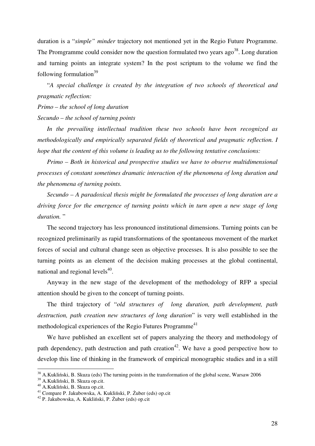duration is a "*simple" minder* trajectory not mentioned yet in the Regio Future Programme. The Promgramme could consider now the question formulated two years  $a\text{g}o<sup>38</sup>$ . Long duration and turning points an integrate system? In the post scriptum to the volume we find the following formulation $39$ 

"*A special challenge is created by the integration of two schools of theoretical and pragmatic reflection:* 

*Primo – the school of long duration Secundo – the school of turning points* 

*In the prevailing intellectual tradition these two schools have been recognized as methodologically and empirically separated fields of theoretical and pragmatic reflection. I hope that the content of this volume is leading us to the following tentative conclusions:* 

*Primo – Both in historical and prospective studies we have to observe multidimensional processes of constant sometimes dramatic interaction of the phenomena of long duration and the phenomena of turning points.* 

*Secundo – A paradoxical thesis might be formulated the processes of long duration are a driving force for the emergence of turning points which in turn open a new stage of long duration.* "

The second trajectory has less pronounced institutional dimensions. Turning points can be recognized preliminarily as rapid transformations of the spontaneous movement of the market forces of social and cultural change seen as objective processes. It is also possible to see the turning points as an element of the decision making processes at the global continental, national and regional levels $40$ .

Anyway in the new stage of the development of the methodology of RFP a special attention should be given to the concept of turning points.

The third trajectory of "*old structures of long duration, path development, path destruction, path creation new structures of long duration*" is very well established in the methodological experiences of the Regio Futures Programme<sup>41</sup>

We have published an excellent set of papers analyzing the theory and methodology of path dependency, path destruction and path creation<sup>42</sup>. We have a good perspective how to develop this line of thinking in the framework of empirical monographic studies and in a still

 $38$  A.Kukliński, B. Skuza (eds) The turning points in the transformation of the global scene, Warsaw 2006

<sup>39</sup> A.Kukliński, B. Skuza op.cit.

 $^{40}$  A.Kukliński, B. Skuza op.cit.

<sup>41</sup> Compare P. Jakubowska, A. Kukliński, P. Żuber (eds) op.cit

<sup>42</sup> P. Jakubowska, A. Kukliński, P. Żuber (eds) op.cit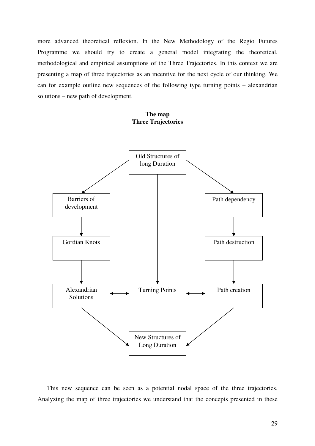more advanced theoretical reflexion. In the New Methodology of the Regio Futures Programme we should try to create a general model integrating the theoretical, methodological and empirical assumptions of the Three Trajectories. In this context we are presenting a map of three trajectories as an incentive for the next cycle of our thinking. We can for example outline new sequences of the following type turning points – alexandrian solutions – new path of development.

#### **The map Three Trajectories**



This new sequence can be seen as a potential nodal space of the three trajectories. Analyzing the map of three trajectories we understand that the concepts presented in these